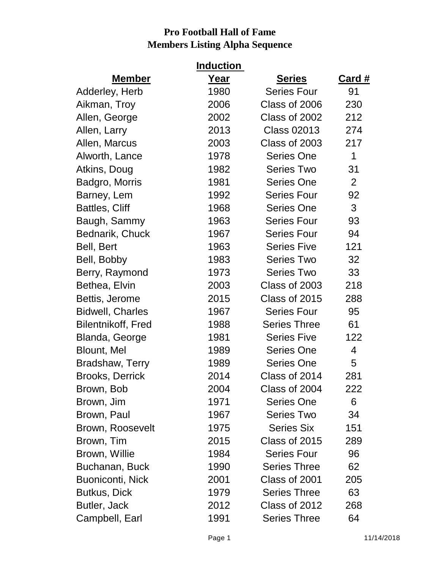|                         | <u>Induction</u> |                     |                |
|-------------------------|------------------|---------------------|----------------|
| <b>Member</b>           | <u>Year</u>      | <b>Series</b>       | <u>Card #</u>  |
| Adderley, Herb          | 1980             | <b>Series Four</b>  | 91             |
| Aikman, Troy            | 2006             | Class of 2006       | 230            |
| Allen, George           | 2002             | Class of 2002       | 212            |
| Allen, Larry            | 2013             | <b>Class 02013</b>  | 274            |
| Allen, Marcus           | 2003             | Class of 2003       | 217            |
| Alworth, Lance          | 1978             | <b>Series One</b>   | 1              |
| Atkins, Doug            | 1982             | <b>Series Two</b>   | 31             |
| Badgro, Morris          | 1981             | <b>Series One</b>   | $\overline{2}$ |
| Barney, Lem             | 1992             | <b>Series Four</b>  | 92             |
| <b>Battles, Cliff</b>   | 1968             | <b>Series One</b>   | 3              |
| Baugh, Sammy            | 1963             | <b>Series Four</b>  | 93             |
| Bednarik, Chuck         | 1967             | <b>Series Four</b>  | 94             |
| Bell, Bert              | 1963             | <b>Series Five</b>  | 121            |
| Bell, Bobby             | 1983             | <b>Series Two</b>   | 32             |
| Berry, Raymond          | 1973             | <b>Series Two</b>   | 33             |
| Bethea, Elvin           | 2003             | Class of 2003       | 218            |
| Bettis, Jerome          | 2015             | Class of 2015       | 288            |
| <b>Bidwell, Charles</b> | 1967             | <b>Series Four</b>  | 95             |
| Bilentnikoff, Fred      | 1988             | <b>Series Three</b> | 61             |
| Blanda, George          | 1981             | <b>Series Five</b>  | 122            |
| Blount, Mel             | 1989             | <b>Series One</b>   | 4              |
| Bradshaw, Terry         | 1989             | <b>Series One</b>   | 5              |
| <b>Brooks, Derrick</b>  | 2014             | Class of 2014       | 281            |
| Brown, Bob              | 2004             | Class of 2004       | 222            |
| Brown, Jim              | 1971             | <b>Series One</b>   | 6              |
| Brown, Paul             | 1967             | <b>Series Two</b>   | 34             |
| Brown, Roosevelt        | 1975             | <b>Series Six</b>   | 151            |
| Brown, Tim              | 2015             | Class of 2015       | 289            |
| Brown, Willie           | 1984             | <b>Series Four</b>  | 96             |
| Buchanan, Buck          | 1990             | <b>Series Three</b> | 62             |
| <b>Buoniconti, Nick</b> | 2001             | Class of 2001       | 205            |
| Butkus, Dick            | 1979             | <b>Series Three</b> | 63             |
| Butler, Jack            | 2012             | Class of 2012       | 268            |
| Campbell, Earl          | 1991             | <b>Series Three</b> | 64             |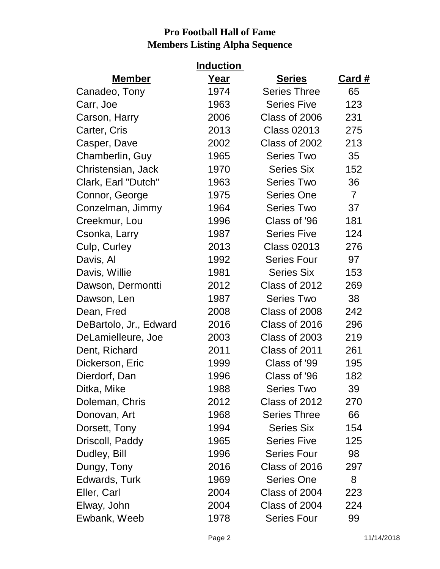|                        | <b>Induction</b> |                     |                |
|------------------------|------------------|---------------------|----------------|
| <b>Member</b>          | Year             | <b>Series</b>       | Card #         |
| Canadeo, Tony          | 1974             | <b>Series Three</b> | 65             |
| Carr, Joe              | 1963             | <b>Series Five</b>  | 123            |
| Carson, Harry          | 2006             | Class of 2006       | 231            |
| Carter, Cris           | 2013             | <b>Class 02013</b>  | 275            |
| Casper, Dave           | 2002             | Class of 2002       | 213            |
| Chamberlin, Guy        | 1965             | <b>Series Two</b>   | 35             |
| Christensian, Jack     | 1970             | <b>Series Six</b>   | 152            |
| Clark, Earl "Dutch"    | 1963             | <b>Series Two</b>   | 36             |
| Connor, George         | 1975             | <b>Series One</b>   | $\overline{7}$ |
| Conzelman, Jimmy       | 1964             | <b>Series Two</b>   | 37             |
| Creekmur, Lou          | 1996             | Class of '96        | 181            |
| Csonka, Larry          | 1987             | <b>Series Five</b>  | 124            |
| Culp, Curley           | 2013             | <b>Class 02013</b>  | 276            |
| Davis, Al              | 1992             | <b>Series Four</b>  | 97             |
| Davis, Willie          | 1981             | <b>Series Six</b>   | 153            |
| Dawson, Dermontti      | 2012             | Class of 2012       | 269            |
| Dawson, Len            | 1987             | <b>Series Two</b>   | 38             |
| Dean, Fred             | 2008             | Class of 2008       | 242            |
| DeBartolo, Jr., Edward | 2016             | Class of 2016       | 296            |
| DeLamielleure, Joe     | 2003             | Class of 2003       | 219            |
| Dent, Richard          | 2011             | Class of 2011       | 261            |
| Dickerson, Eric        | 1999             | Class of '99        | 195            |
| Dierdorf, Dan          | 1996             | Class of '96        | 182            |
| Ditka, Mike            | 1988             | <b>Series Two</b>   | 39             |
| Doleman, Chris         | 2012             | Class of 2012       | 270            |
| Donovan, Art           | 1968             | <b>Series Three</b> | 66             |
| Dorsett, Tony          | 1994             | <b>Series Six</b>   | 154            |
| Driscoll, Paddy        | 1965             | <b>Series Five</b>  | 125            |
| Dudley, Bill           | 1996             | <b>Series Four</b>  | 98             |
| Dungy, Tony            | 2016             | Class of 2016       | 297            |
| Edwards, Turk          | 1969             | <b>Series One</b>   | 8              |
| Eller, Carl            | 2004             | Class of 2004       | 223            |
| Elway, John            | 2004             | Class of 2004       | 224            |
| Ewbank, Weeb           | 1978             | <b>Series Four</b>  | 99             |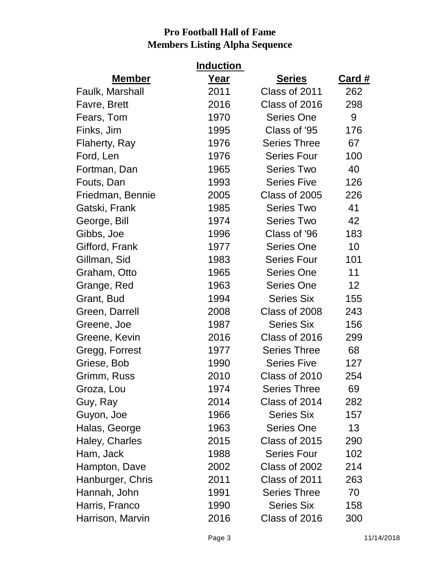|                  | <u>Induction_</u> |                     |                 |
|------------------|-------------------|---------------------|-----------------|
| <b>Member</b>    | Year              | <b>Series</b>       | <u>Card #</u>   |
| Faulk, Marshall  | 2011              | Class of 2011       | 262             |
| Favre, Brett     | 2016              | Class of 2016       | 298             |
| Fears, Tom       | 1970              | <b>Series One</b>   | 9               |
| Finks, Jim       | 1995              | Class of '95        | 176             |
| Flaherty, Ray    | 1976              | <b>Series Three</b> | 67              |
| Ford, Len        | 1976              | <b>Series Four</b>  | 100             |
| Fortman, Dan     | 1965              | <b>Series Two</b>   | 40              |
| Fouts, Dan       | 1993              | <b>Series Five</b>  | 126             |
| Friedman, Bennie | 2005              | Class of 2005       | 226             |
| Gatski, Frank    | 1985              | <b>Series Two</b>   | 41              |
| George, Bill     | 1974              | <b>Series Two</b>   | 42              |
| Gibbs, Joe       | 1996              | Class of '96        | 183             |
| Gifford, Frank   | 1977              | <b>Series One</b>   | 10              |
| Gillman, Sid     | 1983              | <b>Series Four</b>  | 101             |
| Graham, Otto     | 1965              | Series One          | 11              |
| Grange, Red      | 1963              | <b>Series One</b>   | 12 <sub>2</sub> |
| Grant, Bud       | 1994              | <b>Series Six</b>   | 155             |
| Green, Darrell   | 2008              | Class of 2008       | 243             |
| Greene, Joe      | 1987              | <b>Series Six</b>   | 156             |
| Greene, Kevin    | 2016              | Class of 2016       | 299             |
| Gregg, Forrest   | 1977              | <b>Series Three</b> | 68              |
| Griese, Bob      | 1990              | <b>Series Five</b>  | 127             |
| Grimm, Russ      | 2010              | Class of 2010       | 254             |
| Groza, Lou       | 1974              | <b>Series Three</b> | 69              |
| Guy, Ray         | 2014              | Class of 2014       | 282             |
| Guyon, Joe       | 1966              | <b>Series Six</b>   | 157             |
| Halas, George    | 1963              | <b>Series One</b>   | 13              |
| Haley, Charles   | 2015              | Class of 2015       | 290             |
| Ham, Jack        | 1988              | <b>Series Four</b>  | 102             |
| Hampton, Dave    | 2002              | Class of 2002       | 214             |
| Hanburger, Chris | 2011              | Class of 2011       | 263             |
| Hannah, John     | 1991              | <b>Series Three</b> | 70              |
| Harris, Franco   | 1990              | <b>Series Six</b>   | 158             |
| Harrison, Marvin | 2016              | Class of 2016       | 300             |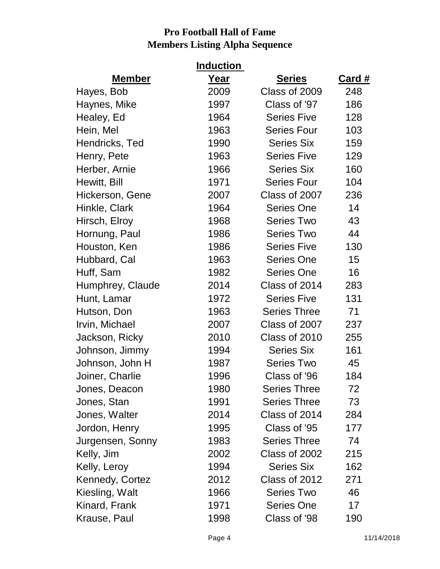|                  | <b>Induction</b> |                     |               |
|------------------|------------------|---------------------|---------------|
| <b>Member</b>    | Year             | <b>Series</b>       | <u>Card #</u> |
| Hayes, Bob       | 2009             | Class of 2009       | 248           |
| Haynes, Mike     | 1997             | Class of '97        | 186           |
| Healey, Ed       | 1964             | <b>Series Five</b>  | 128           |
| Hein, Mel        | 1963             | <b>Series Four</b>  | 103           |
| Hendricks, Ted   | 1990             | <b>Series Six</b>   | 159           |
| Henry, Pete      | 1963             | <b>Series Five</b>  | 129           |
| Herber, Arnie    | 1966             | <b>Series Six</b>   | 160           |
| Hewitt, Bill     | 1971             | <b>Series Four</b>  | 104           |
| Hickerson, Gene  | 2007             | Class of 2007       | 236           |
| Hinkle, Clark    | 1964             | <b>Series One</b>   | 14            |
| Hirsch, Elroy    | 1968             | <b>Series Two</b>   | 43            |
| Hornung, Paul    | 1986             | <b>Series Two</b>   | 44            |
| Houston, Ken     | 1986             | <b>Series Five</b>  | 130           |
| Hubbard, Cal     | 1963             | <b>Series One</b>   | 15            |
| Huff, Sam        | 1982             | <b>Series One</b>   | 16            |
| Humphrey, Claude | 2014             | Class of 2014       | 283           |
| Hunt, Lamar      | 1972             | <b>Series Five</b>  | 131           |
| Hutson, Don      | 1963             | <b>Series Three</b> | 71            |
| Irvin, Michael   | 2007             | Class of 2007       | 237           |
| Jackson, Ricky   | 2010             | Class of 2010       | 255           |
| Johnson, Jimmy   | 1994             | <b>Series Six</b>   | 161           |
| Johnson, John H  | 1987             | <b>Series Two</b>   | 45            |
| Joiner, Charlie  | 1996             | Class of '96        | 184           |
| Jones, Deacon    | 1980             | <b>Series Three</b> | 72            |
| Jones, Stan      | 1991             | <b>Series Three</b> | 73            |
| Jones, Walter    | 2014             | Class of 2014       | 284           |
| Jordon, Henry    | 1995             | Class of '95        | 177           |
| Jurgensen, Sonny | 1983             | <b>Series Three</b> | 74            |
| Kelly, Jim       | 2002             | Class of 2002       | 215           |
| Kelly, Leroy     | 1994             | <b>Series Six</b>   | 162           |
| Kennedy, Cortez  | 2012             | Class of 2012       | 271           |
| Kiesling, Walt   | 1966             | <b>Series Two</b>   | 46            |
| Kinard, Frank    | 1971             | <b>Series One</b>   | 17            |
| Krause, Paul     | 1998             | Class of '98        | 190           |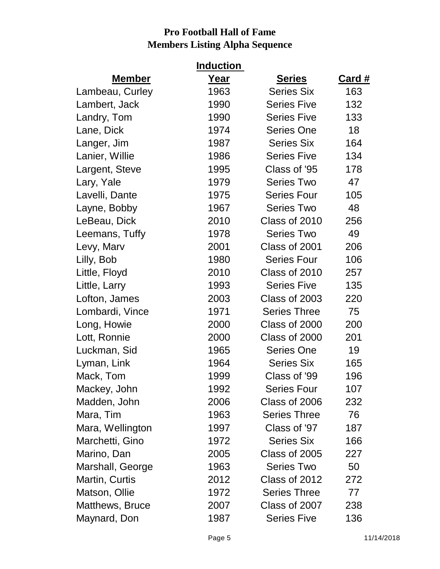|                  | <b>Induction</b> |                     |               |
|------------------|------------------|---------------------|---------------|
| <b>Member</b>    | <u>Year</u>      | <b>Series</b>       | <u>Card #</u> |
| Lambeau, Curley  | 1963             | <b>Series Six</b>   | 163           |
| Lambert, Jack    | 1990             | <b>Series Five</b>  | 132           |
| Landry, Tom      | 1990             | <b>Series Five</b>  | 133           |
| Lane, Dick       | 1974             | <b>Series One</b>   | 18            |
| Langer, Jim      | 1987             | <b>Series Six</b>   | 164           |
| Lanier, Willie   | 1986             | <b>Series Five</b>  | 134           |
| Largent, Steve   | 1995             | Class of '95        | 178           |
| Lary, Yale       | 1979             | <b>Series Two</b>   | 47            |
| Lavelli, Dante   | 1975             | <b>Series Four</b>  | 105           |
| Layne, Bobby     | 1967             | <b>Series Two</b>   | 48            |
| LeBeau, Dick     | 2010             | Class of 2010       | 256           |
| Leemans, Tuffy   | 1978             | <b>Series Two</b>   | 49            |
| Levy, Marv       | 2001             | Class of 2001       | 206           |
| Lilly, Bob       | 1980             | <b>Series Four</b>  | 106           |
| Little, Floyd    | 2010             | Class of 2010       | 257           |
| Little, Larry    | 1993             | <b>Series Five</b>  | 135           |
| Lofton, James    | 2003             | Class of 2003       | 220           |
| Lombardi, Vince  | 1971             | <b>Series Three</b> | 75            |
| Long, Howie      | 2000             | Class of 2000       | 200           |
| Lott, Ronnie     | 2000             | Class of 2000       | 201           |
| Luckman, Sid     | 1965             | <b>Series One</b>   | 19            |
| Lyman, Link      | 1964             | <b>Series Six</b>   | 165           |
| Mack, Tom        | 1999             | Class of '99        | 196           |
| Mackey, John     | 1992             | <b>Series Four</b>  | 107           |
| Madden, John     | 2006             | Class of 2006       | 232           |
| Mara, Tim        | 1963             | <b>Series Three</b> | 76            |
| Mara, Wellington | 1997             | Class of '97        | 187           |
| Marchetti, Gino  | 1972             | <b>Series Six</b>   | 166           |
| Marino, Dan      | 2005             | Class of 2005       | 227           |
| Marshall, George | 1963             | <b>Series Two</b>   | 50            |
| Martin, Curtis   | 2012             | Class of 2012       | 272           |
| Matson, Ollie    | 1972             | <b>Series Three</b> | 77            |
| Matthews, Bruce  | 2007             | Class of 2007       | 238           |
| Maynard, Don     | 1987             | <b>Series Five</b>  | 136           |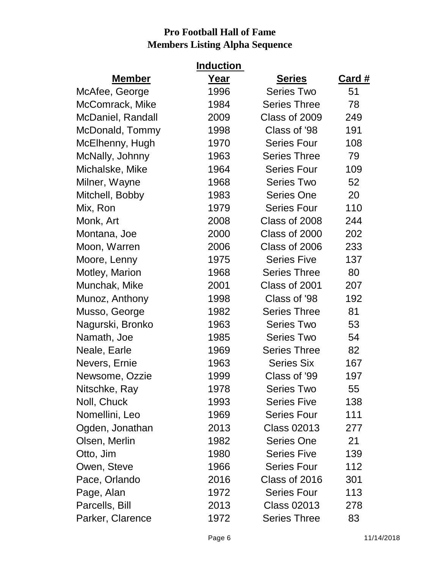|                   | <u>Induction</u> |                     |               |
|-------------------|------------------|---------------------|---------------|
| <b>Member</b>     | Year             | <b>Series</b>       | <u>Card #</u> |
| McAfee, George    | 1996             | <b>Series Two</b>   | 51            |
| McComrack, Mike   | 1984             | <b>Series Three</b> | 78            |
| McDaniel, Randall | 2009             | Class of 2009       | 249           |
| McDonald, Tommy   | 1998             | Class of '98        | 191           |
| McElhenny, Hugh   | 1970             | <b>Series Four</b>  | 108           |
| McNally, Johnny   | 1963             | <b>Series Three</b> | 79            |
| Michalske, Mike   | 1964             | <b>Series Four</b>  | 109           |
| Milner, Wayne     | 1968             | <b>Series Two</b>   | 52            |
| Mitchell, Bobby   | 1983             | <b>Series One</b>   | 20            |
| Mix, Ron          | 1979             | <b>Series Four</b>  | 110           |
| Monk, Art         | 2008             | Class of 2008       | 244           |
| Montana, Joe      | 2000             | Class of 2000       | 202           |
| Moon, Warren      | 2006             | Class of 2006       | 233           |
| Moore, Lenny      | 1975             | <b>Series Five</b>  | 137           |
| Motley, Marion    | 1968             | <b>Series Three</b> | 80            |
| Munchak, Mike     | 2001             | Class of 2001       | 207           |
| Munoz, Anthony    | 1998             | Class of '98        | 192           |
| Musso, George     | 1982             | <b>Series Three</b> | 81            |
| Nagurski, Bronko  | 1963             | <b>Series Two</b>   | 53            |
| Namath, Joe       | 1985             | <b>Series Two</b>   | 54            |
| Neale, Earle      | 1969             | <b>Series Three</b> | 82            |
| Nevers, Ernie     | 1963             | <b>Series Six</b>   | 167           |
| Newsome, Ozzie    | 1999             | Class of '99        | 197           |
| Nitschke, Ray     | 1978             | <b>Series Two</b>   | 55            |
| Noll, Chuck       | 1993             | <b>Series Five</b>  | 138           |
| Nomellini, Leo    | 1969             | <b>Series Four</b>  | 111           |
| Ogden, Jonathan   | 2013             | <b>Class 02013</b>  | 277           |
| Olsen, Merlin     | 1982             | Series One          | 21            |
| Otto, Jim         | 1980             | <b>Series Five</b>  | 139           |
| Owen, Steve       | 1966             | <b>Series Four</b>  | 112           |
| Pace, Orlando     | 2016             | Class of 2016       | 301           |
| Page, Alan        | 1972             | <b>Series Four</b>  | 113           |
| Parcells, Bill    | 2013             | <b>Class 02013</b>  | 278           |
| Parker, Clarence  | 1972             | <b>Series Three</b> | 83            |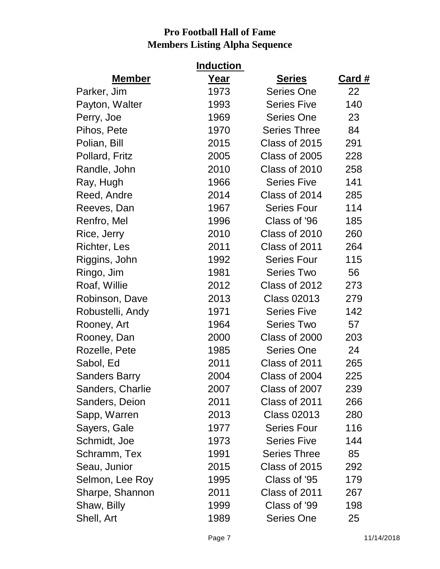|                  | <u>Induction</u> |                     |               |
|------------------|------------------|---------------------|---------------|
| <b>Member</b>    | Year             | <b>Series</b>       | <u>Card #</u> |
| Parker, Jim      | 1973             | <b>Series One</b>   | 22            |
| Payton, Walter   | 1993             | <b>Series Five</b>  | 140           |
| Perry, Joe       | 1969             | <b>Series One</b>   | 23            |
| Pihos, Pete      | 1970             | <b>Series Three</b> | 84            |
| Polian, Bill     | 2015             | Class of 2015       | 291           |
| Pollard, Fritz   | 2005             | Class of 2005       | 228           |
| Randle, John     | 2010             | Class of 2010       | 258           |
| Ray, Hugh        | 1966             | <b>Series Five</b>  | 141           |
| Reed, Andre      | 2014             | Class of 2014       | 285           |
| Reeves, Dan      | 1967             | <b>Series Four</b>  | 114           |
| Renfro, Mel      | 1996             | Class of '96        | 185           |
| Rice, Jerry      | 2010             | Class of 2010       | 260           |
| Richter, Les     | 2011             | Class of 2011       | 264           |
| Riggins, John    | 1992             | <b>Series Four</b>  | 115           |
| Ringo, Jim       | 1981             | <b>Series Two</b>   | 56            |
| Roaf, Willie     | 2012             | Class of 2012       | 273           |
| Robinson, Dave   | 2013             | <b>Class 02013</b>  | 279           |
| Robustelli, Andy | 1971             | <b>Series Five</b>  | 142           |
| Rooney, Art      | 1964             | <b>Series Two</b>   | 57            |
| Rooney, Dan      | 2000             | Class of 2000       | 203           |
| Rozelle, Pete    | 1985             | <b>Series One</b>   | 24            |
| Sabol, Ed        | 2011             | Class of 2011       | 265           |
| Sanders Barry    | 2004             | Class of 2004       | 225           |
| Sanders, Charlie | 2007             | Class of 2007       | 239           |
| Sanders, Deion   | 2011             | Class of 2011       | 266           |
| Sapp, Warren     | 2013             | <b>Class 02013</b>  | 280           |
| Sayers, Gale     | 1977             | <b>Series Four</b>  | 116           |
| Schmidt, Joe     | 1973             | <b>Series Five</b>  | 144           |
| Schramm, Tex     | 1991             | <b>Series Three</b> | 85            |
| Seau, Junior     | 2015             | Class of 2015       | 292           |
| Selmon, Lee Roy  | 1995             | Class of '95        | 179           |
| Sharpe, Shannon  | 2011             | Class of 2011       | 267           |
| Shaw, Billy      | 1999             | Class of '99        | 198           |
| Shell, Art       | 1989             | <b>Series One</b>   | 25            |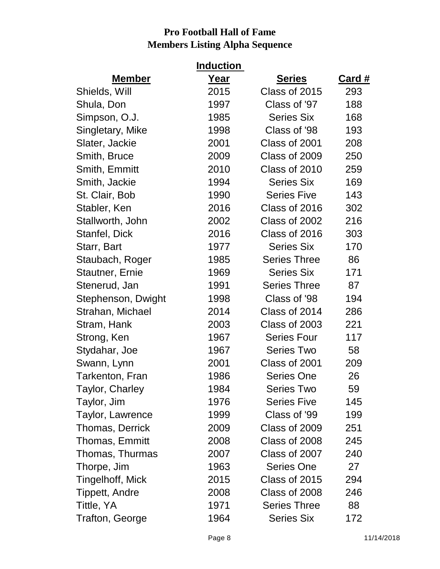|                        | <b>Induction</b> |                     |               |
|------------------------|------------------|---------------------|---------------|
| <b>Member</b>          | <u>Year</u>      | <b>Series</b>       | <u>Card #</u> |
| Shields, Will          | 2015             | Class of 2015       | 293           |
| Shula, Don             | 1997             | Class of '97        | 188           |
| Simpson, O.J.          | 1985             | <b>Series Six</b>   | 168           |
| Singletary, Mike       | 1998             | Class of '98        | 193           |
| Slater, Jackie         | 2001             | Class of 2001       | 208           |
| Smith, Bruce           | 2009             | Class of 2009       | 250           |
| Smith, Emmitt          | 2010             | Class of 2010       | 259           |
| Smith, Jackie          | 1994             | <b>Series Six</b>   | 169           |
| St. Clair, Bob         | 1990             | <b>Series Five</b>  | 143           |
| Stabler, Ken           | 2016             | Class of 2016       | 302           |
| Stallworth, John       | 2002             | Class of 2002       | 216           |
| Stanfel, Dick          | 2016             | Class of 2016       | 303           |
| Starr, Bart            | 1977             | <b>Series Six</b>   | 170           |
| Staubach, Roger        | 1985             | <b>Series Three</b> | 86            |
| <b>Stautner, Ernie</b> | 1969             | <b>Series Six</b>   | 171           |
| Stenerud, Jan          | 1991             | <b>Series Three</b> | 87            |
| Stephenson, Dwight     | 1998             | Class of '98        | 194           |
| Strahan, Michael       | 2014             | Class of 2014       | 286           |
| Stram, Hank            | 2003             | Class of 2003       | 221           |
| Strong, Ken            | 1967             | <b>Series Four</b>  | 117           |
| Stydahar, Joe          | 1967             | <b>Series Two</b>   | 58            |
| Swann, Lynn            | 2001             | Class of 2001       | 209           |
| Tarkenton, Fran        | 1986             | <b>Series One</b>   | 26            |
| Taylor, Charley        | 1984             | <b>Series Two</b>   | 59            |
| Taylor, Jim            | 1976             | <b>Series Five</b>  | 145           |
| Taylor, Lawrence       | 1999             | Class of '99        | 199           |
| Thomas, Derrick        | 2009             | Class of 2009       | 251           |
| Thomas, Emmitt         | 2008             | Class of 2008       | 245           |
| Thomas, Thurmas        | 2007             | Class of 2007       | 240           |
| Thorpe, Jim            | 1963             | <b>Series One</b>   | 27            |
| Tingelhoff, Mick       | 2015             | Class of 2015       | 294           |
| Tippett, Andre         | 2008             | Class of 2008       | 246           |
| Tittle, YA             | 1971             | <b>Series Three</b> | 88            |
| Trafton, George        | 1964             | <b>Series Six</b>   | 172           |